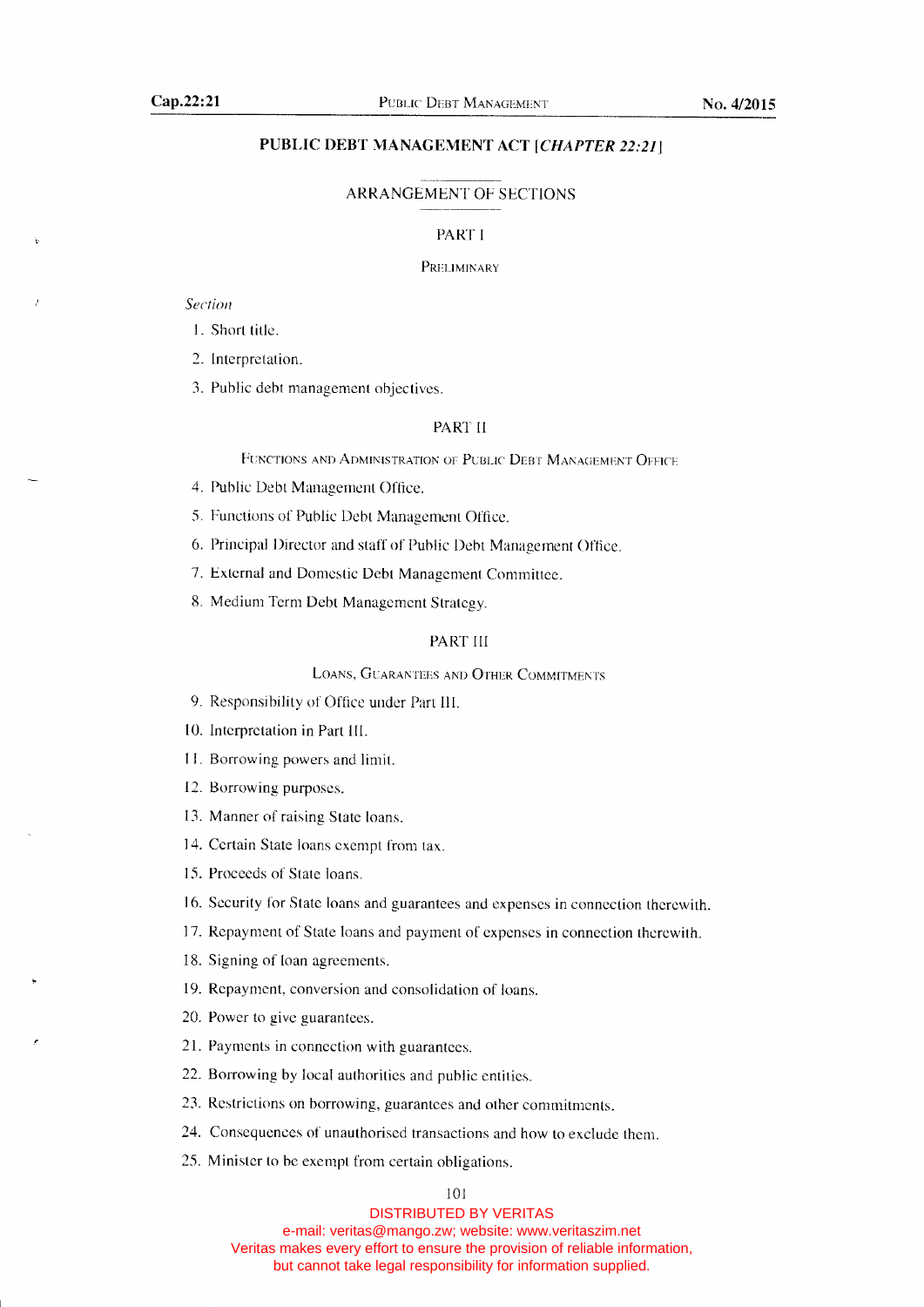# PUBLIC DEBT MANAGEMENT ACT [CHAPTER 22:21]

#### ARRANGEMENT OF SECTIONS

#### PART I

#### PRELIMINARY

Section

1. Short title.

2. Interpretation.

3. Public debt management objectives.

#### PAKT II

FUNCTIONS AND ADMINISTRATION OF PUBLIC DEBT MANAGEMENT OFFICE

- 4. Public Debt Management Office.
- 5. Functions of Public Debt Management Office.

6. Principal Director and staff of Public Debt Management Office.

7. External and Domestic Debt Management Committee.

8. Medium Term Debt Management Strategy.

#### PART ItI

LOANS, GUARANTEES AND OTHER COMMITMENTS

9. Responsibility of Office under Part III.

10. Interpretation in Part III.

11- Borrowing powers and limit.

12. Borrowing purposes.

- 13. Manner of raising State loans.
- 14. Certain State loans exempt from tax.
- 15. Proceeds of State loans.
- 16. Security for State loans and guarantees and expenses in connection therewith.
- 17. Repayment of State loans and payment of expenses in connection therewith.
- 18. Signing of loan agreements.
- 19. Repayment, conversion and consolidation of loans.
- 20. Power to give guarantees.
- 21. Payments in connection with guarantees.
- 22. Borrowing by local authorities and public entities.
- 23. Restrictions on borrowing, guarantees and other commitments.
- 24. Consequences of unauthorised transactions and how to exclude them.
- 25. Minister to be exempt from certain obligations.

#### 101

DISTRIBUTED BY VERITAS

e-mail: veritas@mango.zw; website: www.veritaszim.net Veritas makes every effort to ensure the provision of reliable information, but cannot take legal responsibility for information supplied.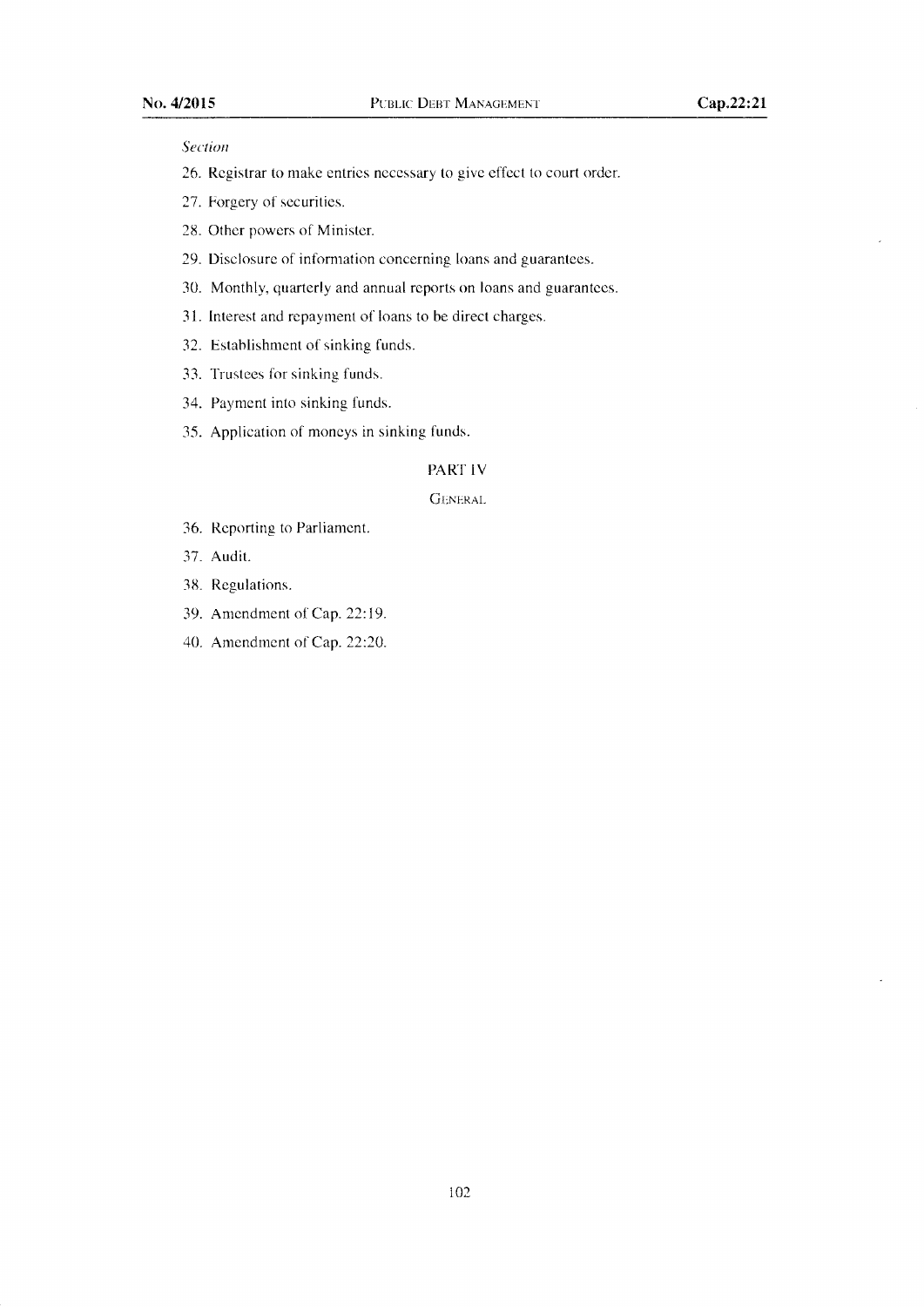### Section

- 26. Registrar to make entries necessary to give effect to court order.
- 27. Forgery of securities.
- 28. Other powers of Minister.
- 29. Disclosure of information concerning loans and guarantees.
- 30. Monthly, quarterly and annual reports on loans and guarantees.
- <sup>31</sup>, Interest and repayment of loans to be direct charges.
- 32. Establishment of sinking funds.
- 33. Trustees for sinking funds.
- 34. Payment into sinking funds.
- 35. Application of moneys in sinking funds.

# PART IV

#### GENERAL

- 36. Reporting to Parliament.
- 37. Audit.
- 38. Regulations.
- 39. Amendment of Cap. 22:19.
- 40. Amendment of Cap. 22:20.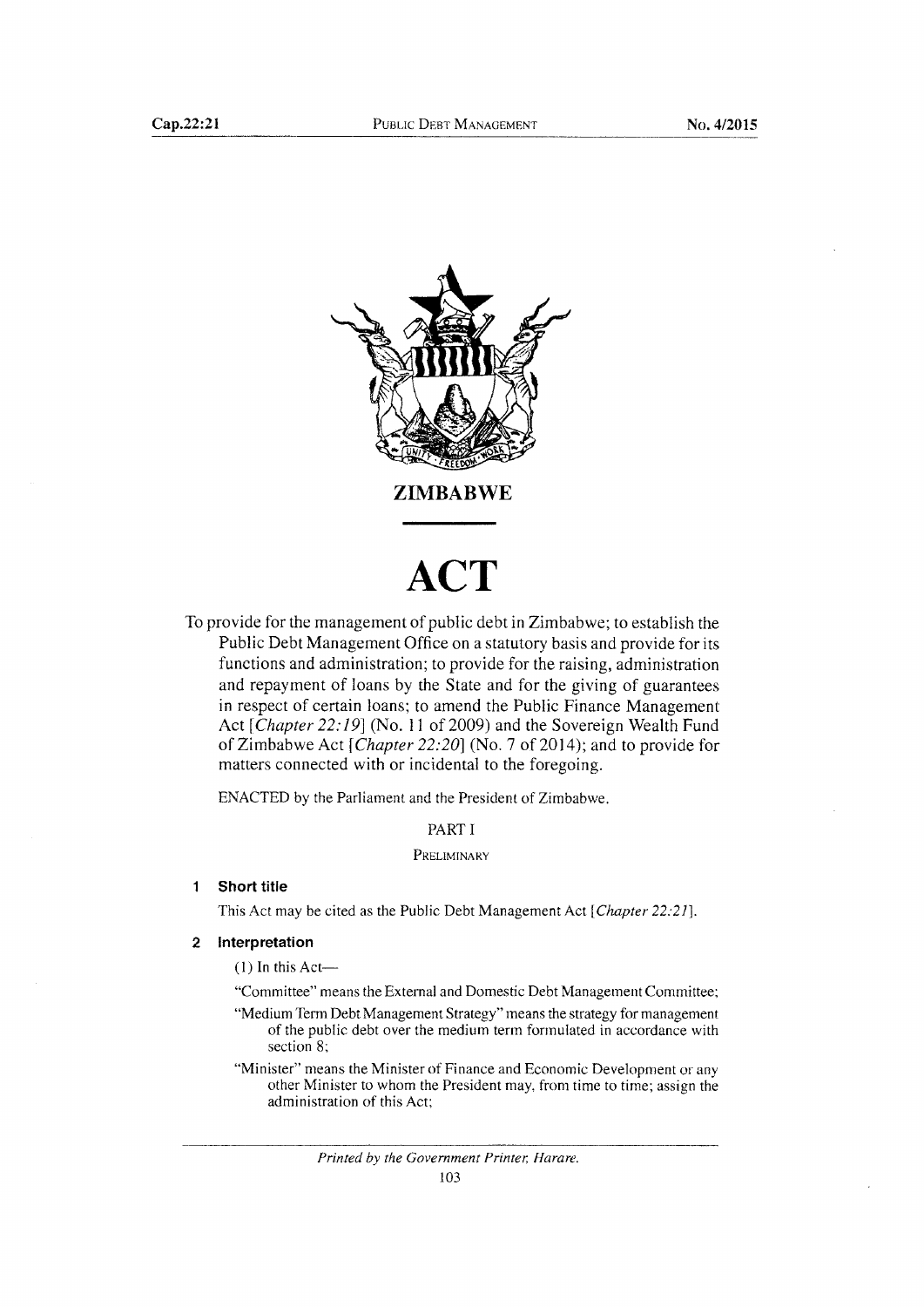

# **ACT**

To provide for the management of public debt in Zimbabwe; to establish the Public Debt Management Office on a statutory basis and provide for its functions and administration; to provide for the raising, administration and repayment of loans by the State and for the giving of guarantees in respect of certain loans; to amend the Public Finance Management Act [Chapter 22:19] (No. 11 of 2009) and the Sovereign Wealth Fund of Zimbabwe Act [Chapter 22:20] (No. 7 of 2014); and to provide for matters connected with or incidental to the foregoing.

ENACTED bv the Parliament and the President of Zimbabwe.

PART I

#### PRELIMINARY

#### $\mathbf{1}$ **Short title**

This Act may be cited as the Public Debt Management Act [*Chapter 22:21*].

# 2 Interpretation

 $(1)$  In this Act-

"Committee" means the External and Domestic Debt Management Committee;

"Medium Term Debt Management Strategy" means the strategy for management of the public debt over the mediurn tenn formulated in accordance with section 8;

"Minister" means the Minister of Finance and Economic Development or any other Minister to whom the Presiclent may, from time to time; assign the administration of this Act: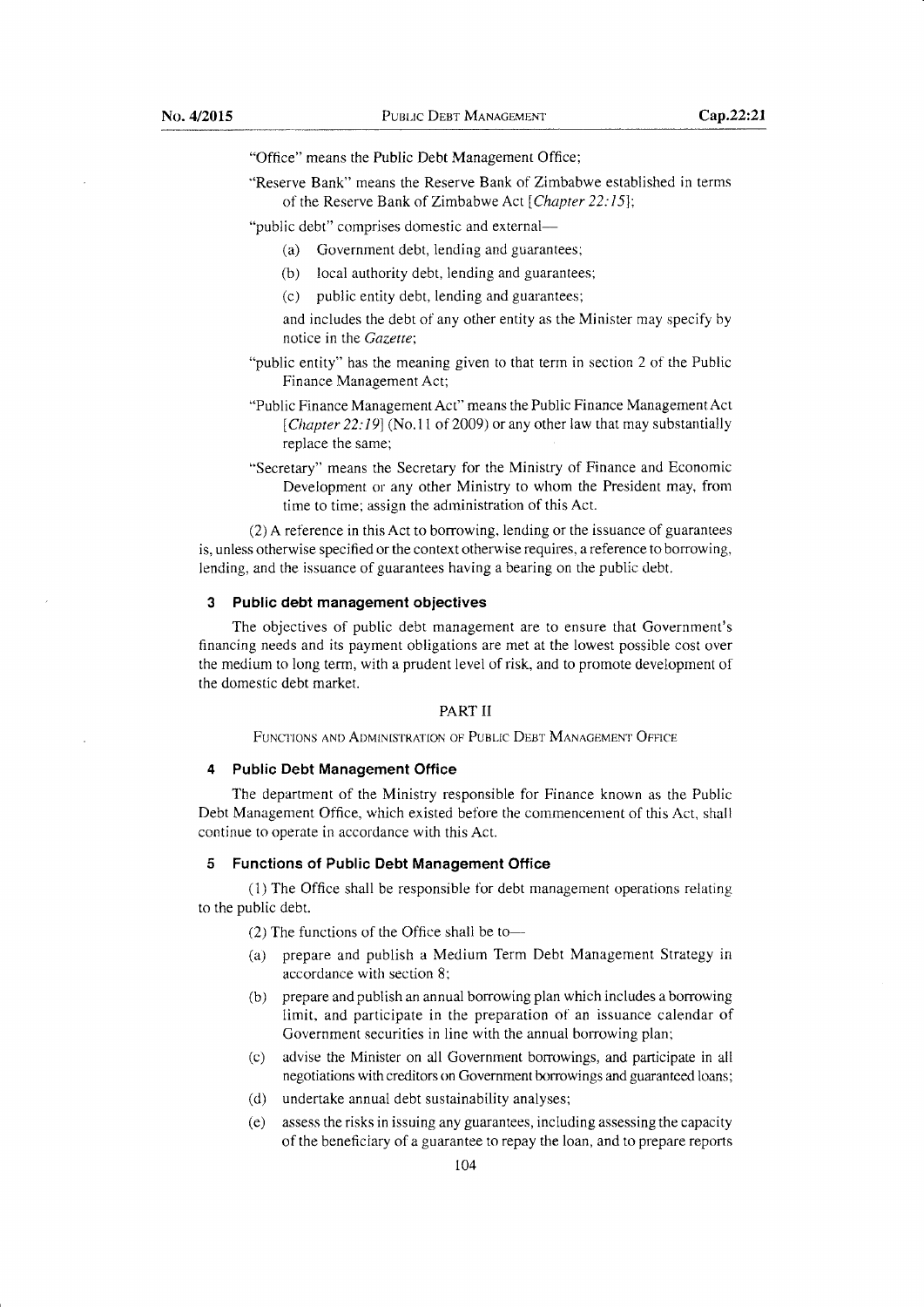'Office" means the Public Debt Management Office;

"Reserve Bank" means the Reserve Bank of Zimbabwe established in terms of the Reserve Bank of Zimbabwe Act [Chapter 22:15];

"public debt" comprises domestic and external-

- (a) Government debt, lending and guarantees;
- (b) local authority debt, lending and guarantees;
- (c) public entity debt, lending and guarantees;
- and includes the debt of any other entity as the Minister may specify by notice in the Gazette;
- "public entity" has the meaning given to that term in section 2 of the Public Finance Management Act;
- "Public Finance Management Act" means the Public Finance Management Act [Chapter 22:19] (No.11 of 2009) or any other law that may substantially replace the same;
- "Secretary" means the Secretary for the Ministry of Finance and Economic Development or any other Ministry to whom the President may, from time to time; assign the adrninistration of this Act.

(2) A reference in this Act to borrowing, lending or the issuance of guarantees is, unless otherwise specified or the context otherwise requires, a reference to borrowing, Iending, and the issuance of guarantees having a bearing on the public debt.

# 3 Public debt management obiectives

The objectives of public debt management are to ensure that Government's financing needs and its payment obligations are met at the lowest possible cost over the medium to long term, with a prudent level of risk, and to promote development of the domestic debt market.

#### PARTII

FUNCTIONS AND ADMINISTRATION OF PUBLIC DEBT MANAGEMENT OFFICE

# 4 Public Debt Management Office

The department of the Ministry responsible for Finance known as the Public Debt Management Office, which existed before the commencement of this Act, shall continue to operate in accordance with this Act.

#### 5 Functions of Public Debt Management Office

(1) The Office shall be responsible for debt management operations relating to the public debt.

 $(2)$  The functions of the Office shall be to--

- (a) prepare and publish a Medium Term Debt Management Strategy in accordance with section 8;
- (b) prepare and publish an annual borrowing plan which includes a borrowing limit, and participate in the preparation of an issuance calendar of Government securities in line with the annual borrowing plan;
- (c) advise the Minister on all Government borrowings, and participate in all negotiations with creditors on Government borrowings and guaranteed loans;
- (d) undertake annual debt sustainability analyses;
- (e) assess the risks in issuing any guarantees, including assessing the capacity of the beneficiary of a guarantee to repay the loan, and to prepare reports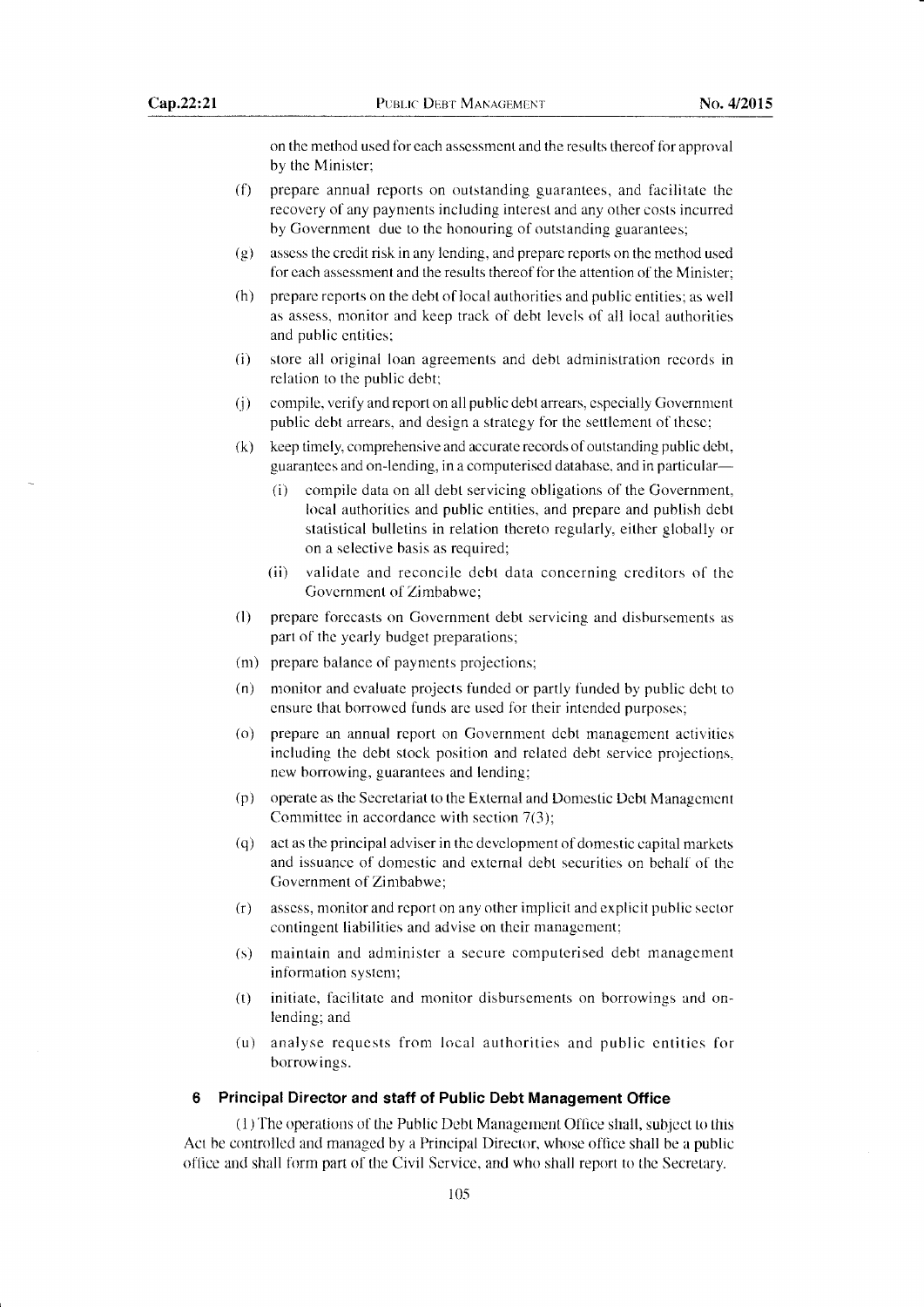on the method used for each assessment and the results thereof for approval by the Minister;

- $(6)$  prepare annual reports on outstanding guarantees, and facilitate the recovery of any payments including interest and any other costs incurred by Government due to the honouring of outstanding guarantees;
- (g) assess the credit risk in any lending, and prepare reports on the method used for each assessment and the results thereof for the attention of the Minister;
- (h) prepare reports on the debt of local authorities and public entities; as well as assess, monitor and keep track of debt levels of all local authorities and public entities;
- (i) store all original loan agreements and debt administration records in relation to the public debt;
- (j) compile, verify and report on all public debt arrears, especially Government public debt arrears, and design a strategy for the settlement of these;
- &) keep timely, comprehensive and accurate records of outstanding public debt, guarantees and on-lending, in a computerised database. and in particular-
	- (i) compile data on all debt servicing obligations of the Government, local authorities and public entities, and prepare and publish debt statistical bulletins in relation thereto regularly, either globally or on a selective basis as required;
	- (ii) validate and reconcile debt data concerning creditors of the Govemment of Zimbabwe;
- (l) prepare forecasts on Govemment debt servicing and disbursements as part of the yearly budget preparations;
- (m) prepare balance of payments projections;
- (n) monitor and evaluate projects funded or partly funded by public debt to ensure that borrowed funds are used for their intended purposes;
- (o) prepare an annual report on Government debt management activities including the debt stock position and related debt service projections, new borrowing, guarantees and lending;
- (p) operate as the Secretariat to the External and Domestic Debt Management Committee in accordance with section 7(3):
- (q) act as the principal adviser in the development of domestic capital markets and issuance of domestic and external debt securities on behalf of the Govemment of Zimbabwe;
- (r) assess, monitor and report on any other implicit and explicit public sector contingent liabilities and advise on their management;
- (s) maintain and administer a secure computerised debt management information system;
- (t) initiate, facilitate and monitor disbursements on borrowings and onlending; and
- (u) analyse requests from local authorities and public entities for borrowings.

# 6 Principal Director and staff of Public Debt Management Office

(1) The operations of the Public Debt Management Office shall, subject to this Act be controlled and managed by a Principal Director, whose office shall be a public office and shall form part of the Civil Service, and who shall report to the Secretary.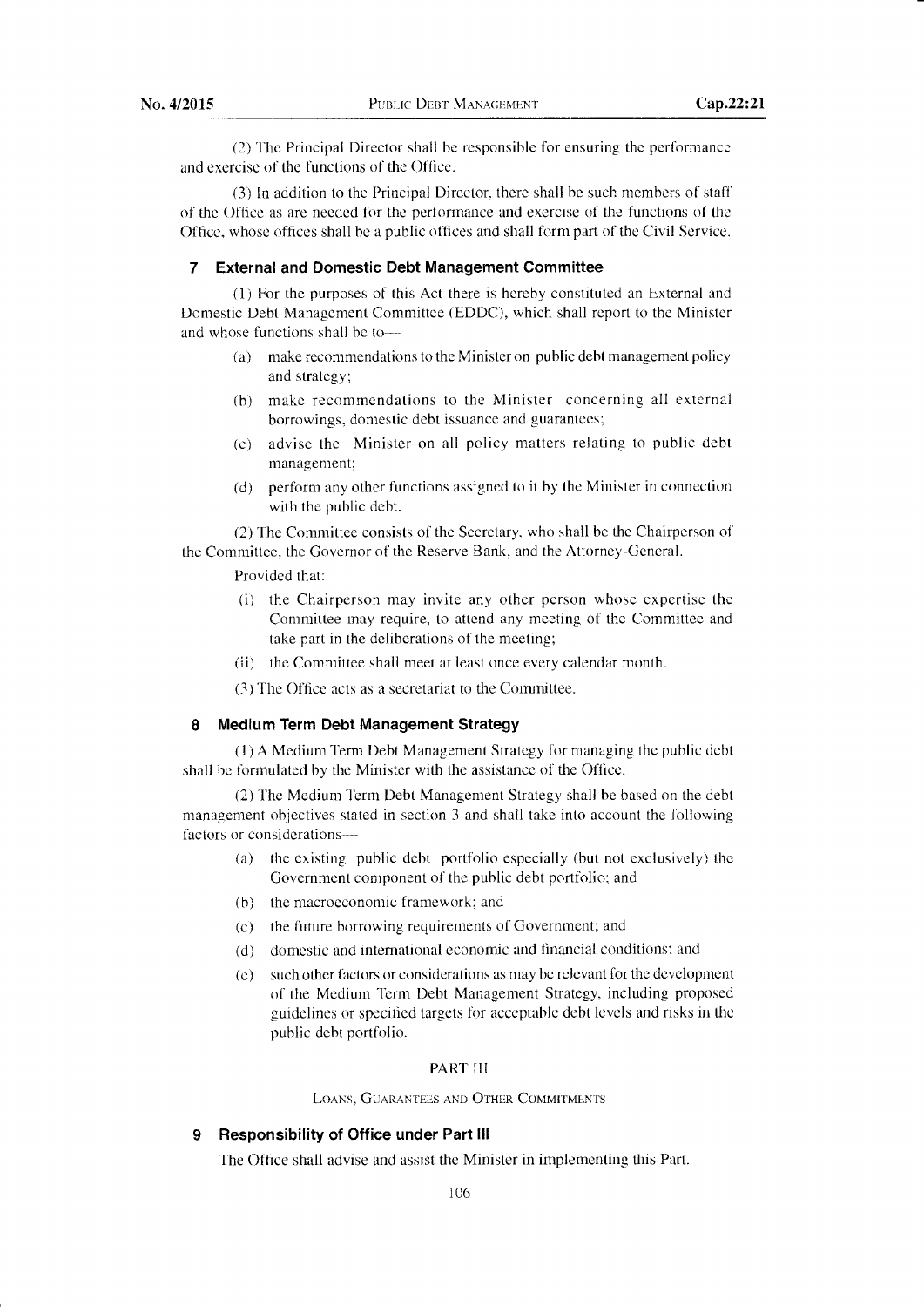(2) The Principal Director shall be responsible for ensuring the performance and exercise of the functions of the Offlce.

(3) ln addition to the Principal Director, there shall be such members of staff of the Office as are needed for the performance and exercise of the functions of the Office, whose offices shall be a public offices and shall form part of the Civil Service.

# 7 External and Domestic Debt Management Committee

(1) For the purposes of this Act there is hereby constituted an External and Domestic Debt Management Committee (EDDC), which shall report to the Minister and whose functions shall be to-

- (a) make recommendations to the Minister on public debt management policy and strategy;
- (b) make recommendations to the Minister concerning all external borrowings, domestic debt issuance and guarantees;
- (c) advise the Minister on all policy natters relating to public debt management;
- (d) perform any other functions assigned to it by the Minister in connection with the public debt.

(2) The Committee consists of the Secretary, who shall be the Chairperson of the Committee, the Governor of the Reserve Bank, and the Attorney-General.

Provided that:

- (i) the Chairperson may invite any other person whose expertise the Committee may require, to attend any meeting of the Committee and take part in the deliberations of the meeting;
- (ii) the Committee shall meet at least once every calendar month.

 $(3)$  The Office acts as a secretariat to the Committee.

# 8 Medium Term Debt Management Strategy

(1) A Medium f'erm Debt Management Strategy for managing the public debt shall be formulated by the Minister with the assistance of the Office.

(2) The Medium Term Debt Management Strategy shall be based on the debt management objectives stated in section 3 and shall take into account the following factors or considerations-

- (a) the existing public debt portfolio especially (but not exclusively) the Government component of the public debt portfolio; and
- (b) the macroeconomic framework; and
- (c) the future borrowing requirements of Government; and
- (d) domestic and intemational economic and financial conditions; and
- (e) such other factors or considerations as may be relevant for the development of the Medium Term Debt Management Strategy, including proposed guidelines or specified targets for acceptable debt levels and risks in the public debt portfolio.

# PART III

LOANS, GUARANTEES AND OTHER COMMITMENTS

# 9 Responsibility of Office under Part III

The Office shall advise and assist the Minister in irnplementing this Part.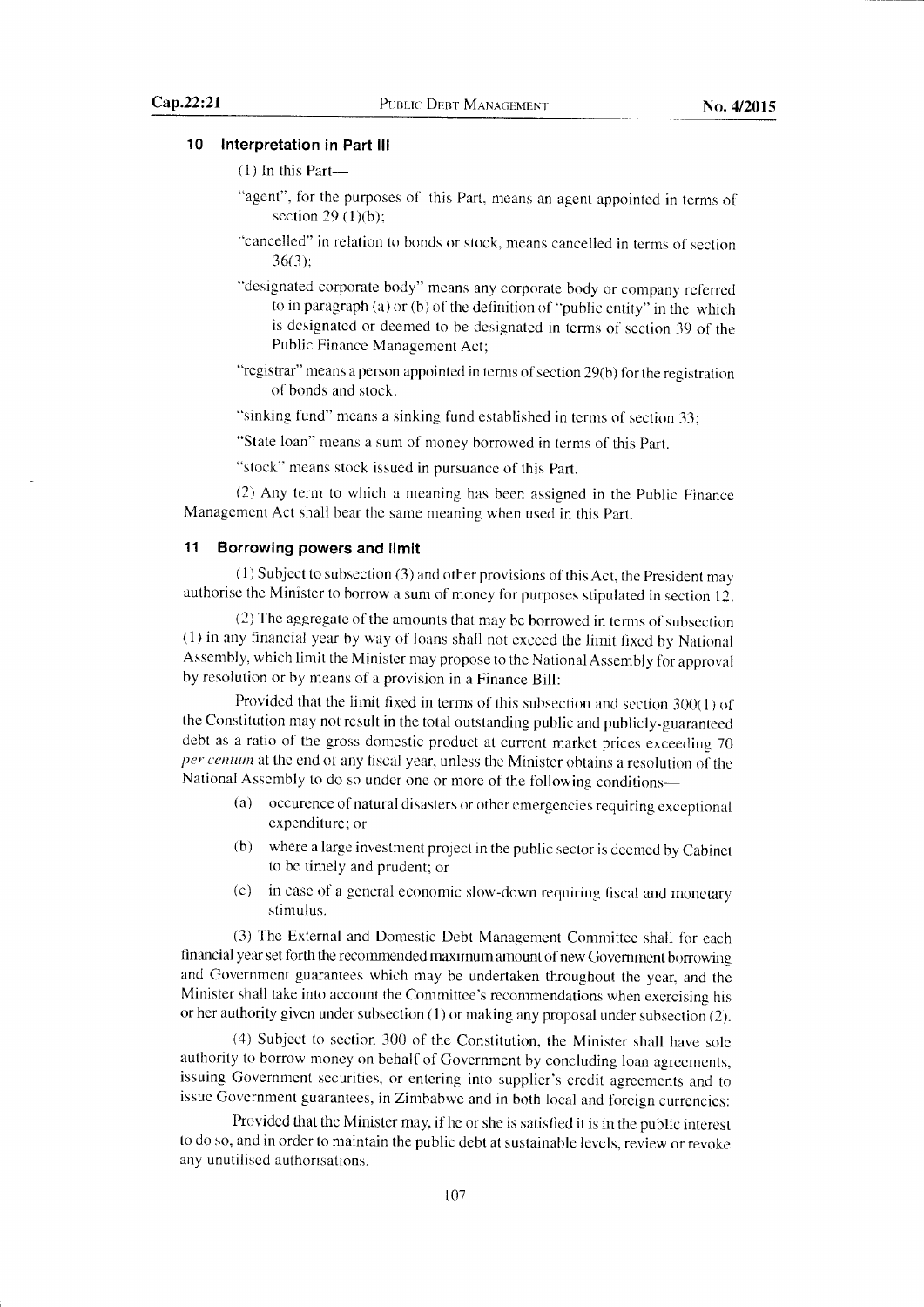# 10 Interpretation in Part lll

```
(1) ln this Part-
```
- "agent", for the purposes of this Part, means an agent appointed in terms of section  $29(1)(b)$ ;
- "cancelled" in relation to bonds or stock, means cancelled in terms of section 36(3):
- "designated corporate body" means any corporate body or company referred to in paragraph (a) or (b) of the definition of "public entity" in the which is designated or deemed to be designated in terms of section 39 of the Public Finance Management Act;
- "registrar" means a person appointed in terms of section 29(b) for the registration of bonds and stock.
- "sinking fund" means a sinking fund established in terms of section 33;
- "State loan" means a sum of money borrowed in terms of this Part.

"stock" means stock issued in pursuance of this Part.

(2) Any tenn to which a meaning has been assigned in the Public Finance Management Act shall bear the same meaning when used in this part.

# 11 Borrowing powers and limit

(1) Subject to subsection (3) and other provisions of this Act, the president may authorise the Minister to borrow a sum of money for purposes stipulated in section 12.

(2) The aggregate of the amounts that may be borrowed in terms of subsection (1) in any financial year by way of loans shall not exceed the limit tixed by National Assembly, which limit the Minister may propose to the National Assembly for approval by resolution or by means of a provision in a Finance Bill:

Provided that the limit fixed in terms of this subsection and section  $300(1)$  of the Constitution may not result in the total outstanding public and publicly-guaranteed debt as a ratio of the gross domestic product at current market prices exceeding <sup>70</sup> per centum at the end of any fiscal year, unless the Minister obtains a resolution of the National Assembly to do so under one or more of the following conditions-

- (a) occurence ofnatural disasters or other emergencies requiring exceptional expenditure; or
- (b) where a large investment project in the public sector is deemed by Cabinet to be timely and prudent; or
- (c) in case of a general economic slow-down requiring fiscal and monetary stimulus.

(3) The Extemal and Domestic Debt Management Committee shall for each financial year set forth the recommended maximum amount of new Government borrowing and Government guarantees which may be undertaken throughout the year, and the Minister shall take into account the Committee's recommendations when exercising his or her authority given under subsection (1) or making any proposal under subsection (2).

(4) Subject to section 300 of the Constitution, the Minister shall have sole authority to borrow money on behalf of Government by concluding loan agreements, issuing Govemment securities, or entering into supplier's credit agreements and to issue Government guarantees, in Zimbabwe and in both local and foreign currencies:

Provided that the Minister may, if he or she is satisfied it is in the public interest to do so, and in order to maintain the public debt at sustainable levels, review or revoke any unutilised authorisations.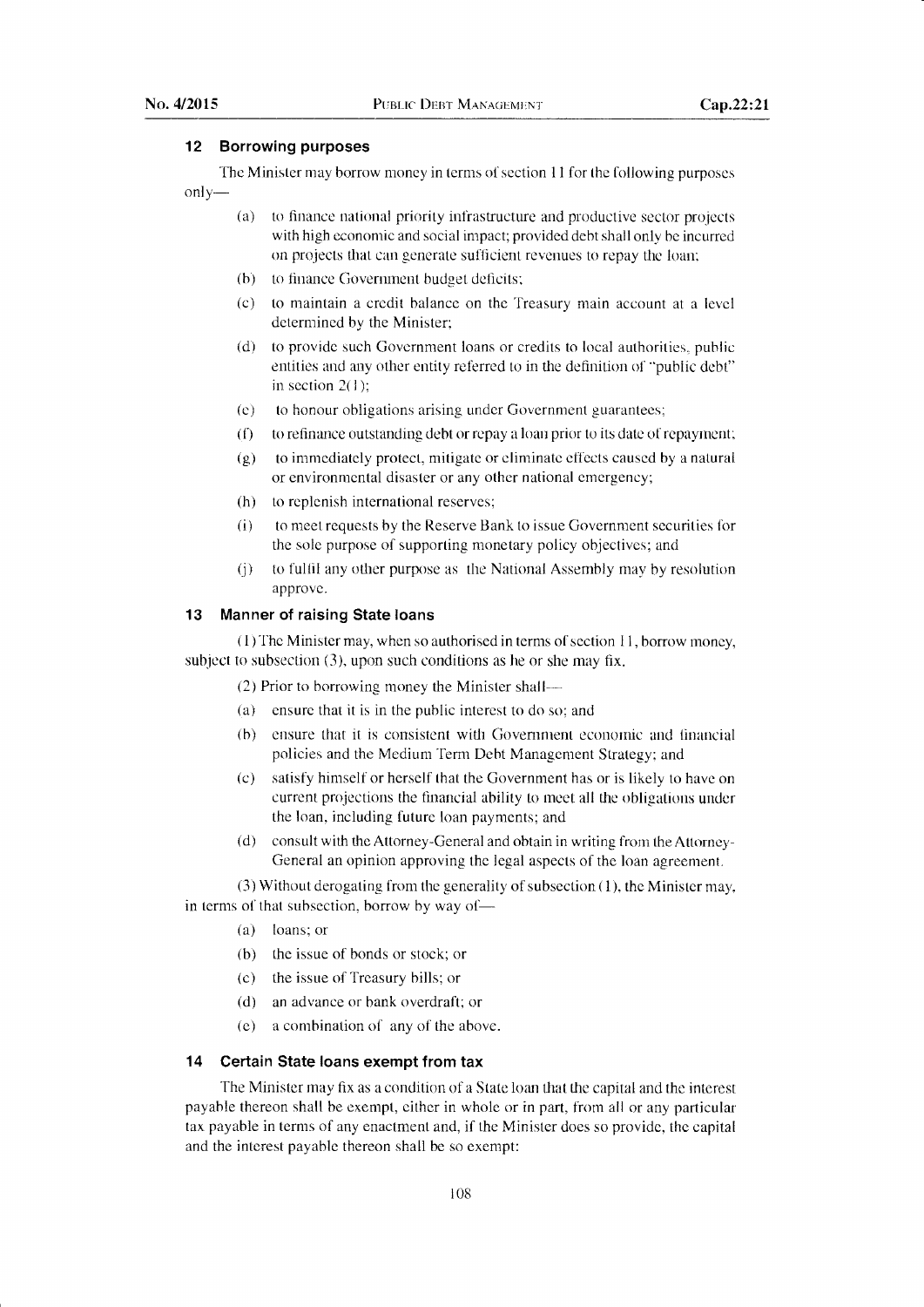# 12 Borrowing purposes

The Minister may borrow money in terms of section 11 for the following purposes only-

- (a) to finance national priority infrastructure and productive sector projects with high economic and social impact; provided debt shall only be incurred on projects that can generate suflicient revenues to repay the loan;
- (b) to finance Government budget deficits;
- (c) to maintain a credit balance on the Treasurv main account at a level determined by the Minister;
- (d) to provide such Government loans or credits to local authorities, public entities and any other entity referred to in the definition of "public debt" in section 2(1):
- (e) to honour obligations arising under Government guarantees;
- $(f)$  to refinance outstanding debt or repay a loan prior to its date of repayment;
- $(g)$  to immediately protect, mitigate or eliminate effects caused by a natural or environmental disaster or any other national emergency;
- (h) to replenish international reserves;
- (i) to meet requests by the Reserve Bank to issue Govemment securities for the sole purpose of supporting monetary policy objectives; and
- 0) to fulfil any other purpose as the National Assembly may by resolution approve.

#### 13 Manner of raising State loans

 $(1)$  The Minister may, when so authorised in terms of section  $11$ , borrow money, subject to subsection (3), upon such conditions as he or she may fix.

(2) Prior to borrowing money the Minister shall--

- (a) ensure that it is in the public interest to do so; and
- (b) ensure that it is consistent with Govemment economic and financial policies and the Medium Term Debt Management Strategy; and
- (c) satisfy himself or herself that the Government has or is likely to have on current projections the financial ability to meet all the obligations under the loan, including future loan payments; and
- (d) consult with the Attorney-General and obtain in writing from the Attorney-General an opinion approving the legal aspects of the loan agreement.

(3) Without derogating from the generality of subsection  $(1)$ , the Minister may, in terms of that subsection, borrow by way of-

- (a) loans; or
- (b) the issue of bonds or stock; or
- (c) the issue of Treasury bills; or
- (d) an advance or bank overdraft; or
- (e) a combination of any of the above.

# 14 Certain State loans exempt from tax

The Minister may fix as a condition of a State loan that the capital and the interest payable thereon shall be exempt, either in whole or in part, from all or any particular tax payable in terms of any enactment and, if the Minister does so provide, the capital and the interest payable thereon shall be so exempt: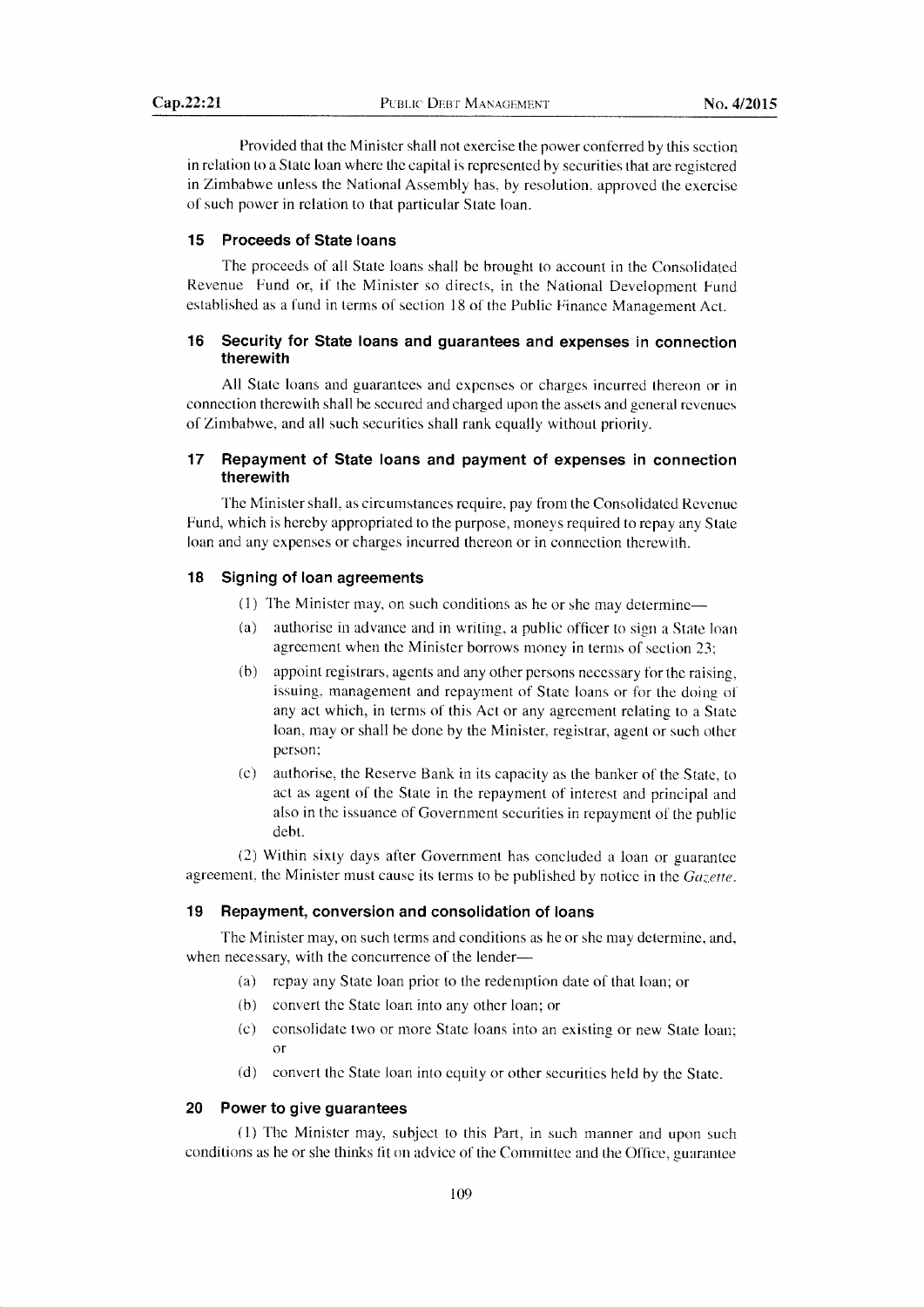Provided that the Minister shall not exercise the power conferred by this section in relation to a State loan where the capital is represented by securities that are registered in Zimbabwe unless the National Assembly has, by resolution. approved the exercise of such power in relation to that particular State loan.

# 15 Proceeds of State loans

The proceeds of all State loans shall be brought to account in the Consolidated Revenue Fund or, if the Minister so directs, in the National Development Fund established as a fund in terms of section l8 of the Public Finance Manasement Act.

# 16 Security for State loans and guarantees and expenses in connection therewith

All State loans and guarantees and expenses or charges incurred thereon or in connection therewith shall be secured and charged upon the assets and general revenues of Zimbabwe, and all such securities shall rank equally without priority.

# 17 Repayment of State loans and payment of expenses in connection therewith

The Minister shall, as circumstances require, pay from the Consolidated Revenue Fund, which is hereby appropriated to the purpose, moneys required to repay any State loan and any expenses or charges incurred thereon or in connection therewith.

# 18 Signing of loan agreements

- (1) The Minister may, on such conditions as he or she may determine-
- (a) authorise in advance and in writing, a public offlcer to sign a State loan agreement when the Minister borrows money in terms of section 23;
- $(b)$  appoint registrars, agents and any other persons necessary for the raising, issuing, management and repayment of State loans or for the doing of any act which, in terms of this Act or any agreement relating to a State loan, may or shall be done by the Minister, registrar, agent or such other person;
- (c) authorise, the Reserve Bank in its capacity as the banker of the State, to act as agent of the State in the repayment of interest and principal and also in the issuance of Government securities in repayment of the public debt.

(2) Within sixty days after Government has concluded a loan or guarantee agreement, the Minister must cause its terms to be published by notice in the  $Gazette$ .

# 19 Repayment, conversion and consolidation of loans

The Minister may, on such terms and conditions as he or she may determine, and, when necessary, with the concurrence of the lender-

- (a) repay any State loan prior to the redemption date of that loan; or
- (b) convert the State loan into any other loan; or
- (c) consolidate two or more State loans into an existing or new State loan; or
- (d) convert the State loan into equity or other securities held by the State .

# 20 Power to give guarantees

(1) The Minister may, subject to this Part, in such manner and upon such conditions as he or she thinks fit on advice of the Committee and the Office, guarantee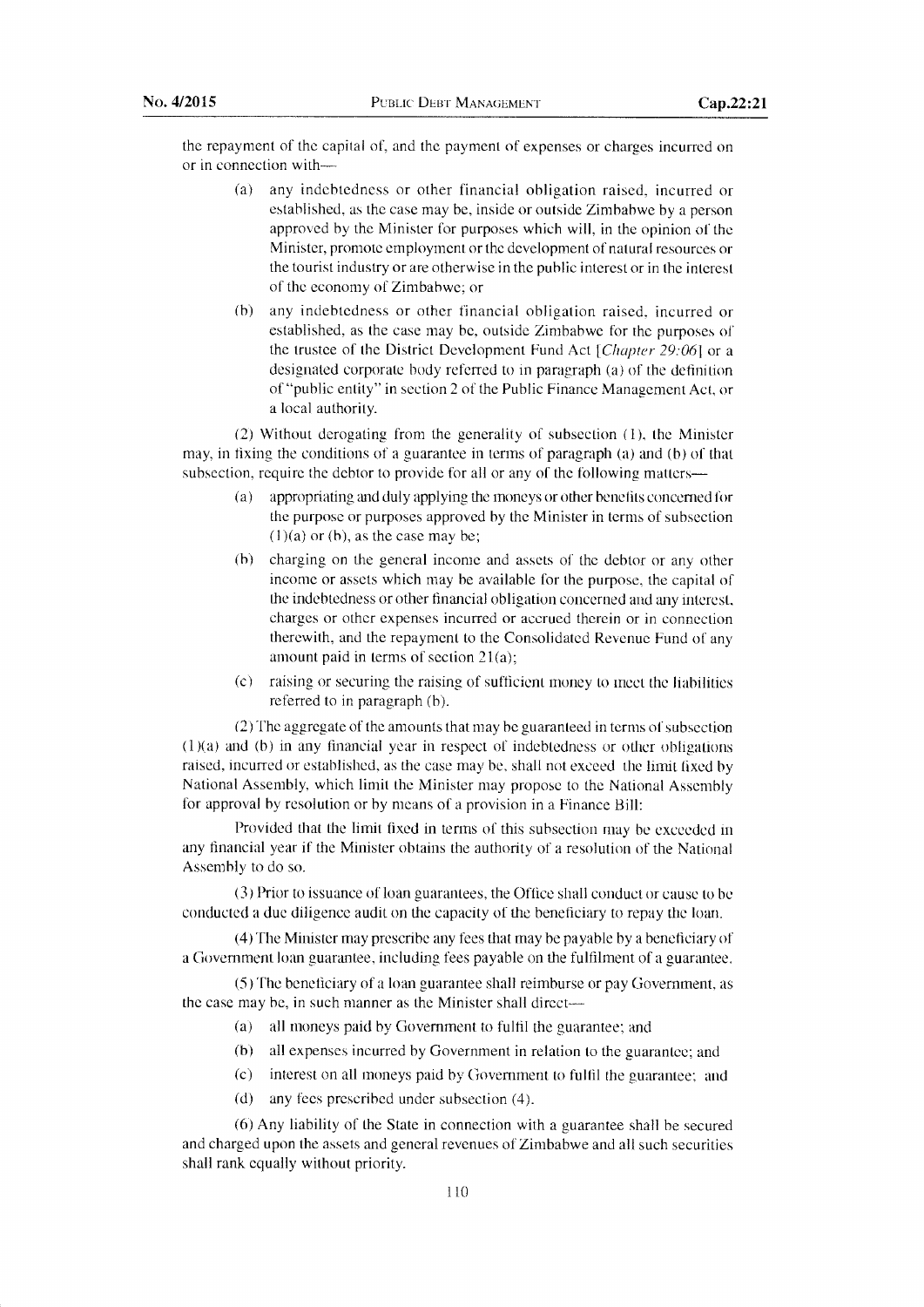the repayment of the capital of, and the payment of expenses or charges incurred on or in connection with-

- (a) any indebtedness or other financial obligation raised, incurred or established, as the case may be, inside or outside Zimbabwe by a person approved by the Minister for purposes which will, in the opinion of the Minister, promote employment or the development of natural resources or the tourist industry or are otherwise in the public interest or in the interest of the economy of Zimbabwe; or
- (b) any indebtedness or other financial obligation raised, incurred or established, as the case may be, outside Zimbabwe for the purposes of the trustee of the District Development Fund Act  $[Chapter 29:06]$  or a designated corporate body referred to in paragraph (a) of the definition of "public entity" in section 2 of the Public Finance Management Act, or a local authority.

(2) Without derogating from the generality of subsection (1), the Minister may, in fixing the conditions of a guarantee in terms of paragraph (a) and (b) of that subsection, require the debtor to provide for all or any of the following matters-

- (a) appropriating and duly applying the moneys or other benefits concerned for the purpose or purposes approved by the Minister in terms of subsection  $(1)(a)$  or (b), as the case may be;
- (b) charging on the general income and assets of the debtor or any other income or assets which may be available for the purpose, the capital of the indebtedness or other financial obligation concerned and any interest, charges or other expenses incurred or accrued therein or in connection therewith, and the repayment to the Consolidated Revenue Fund of any amount paid in terms of section 21(a);
- $(c)$  raising or securing the raising of sufficient money to meet the liabilities referred to in paragraph (b).

(2) The aggregate of the amounts that may be guaranteed in terms of subsection  $(1)(a)$  and  $(b)$  in any financial year in respect of indebtedness or other obligations raised, incurred or established, as the case may be, shall not exceed the limit fixed by National Assembly, which limit the Minister may propose to the National Assembly for approval by resolution or by means of a provision in a Finance Bill:

Provided that the limit fixed in terms of this subsection may be exceeded in any financial year if the Minister obtains the authority of a resolution of the National Assembly to do so.

(3) Prior to issuance of loan guarantees, the Office shall conduct or cause to be conducted a due diligence audit on fhe capacity of the beneficiary to repay the loan.

(4) The Minister may prescribe any fees that may be payable by a beneficiary of a Govemment loan guarantee, including fees payable on the fulfilment of a guarantee.

(5) The beneficiary of a loan guarantee shall reimburse or pay Government, as the case may be, in such manner as the Minister shall direct-

- (a) all moneys paid by Govemment to fulfil the guarantee; and
- (b) all expenses incurred by Government in relation to the guarantee; and
- (c) interest on all moneys paid by Govemment to ful{il the guarantee; and
- (d) any fees prescribed under subsection  $(4)$ .

(6) Any liability of the State in connection with a guarantee shall be secured and charged upon the assets and general revenues of Zimbabwe and all such securities shall rank equally without priority.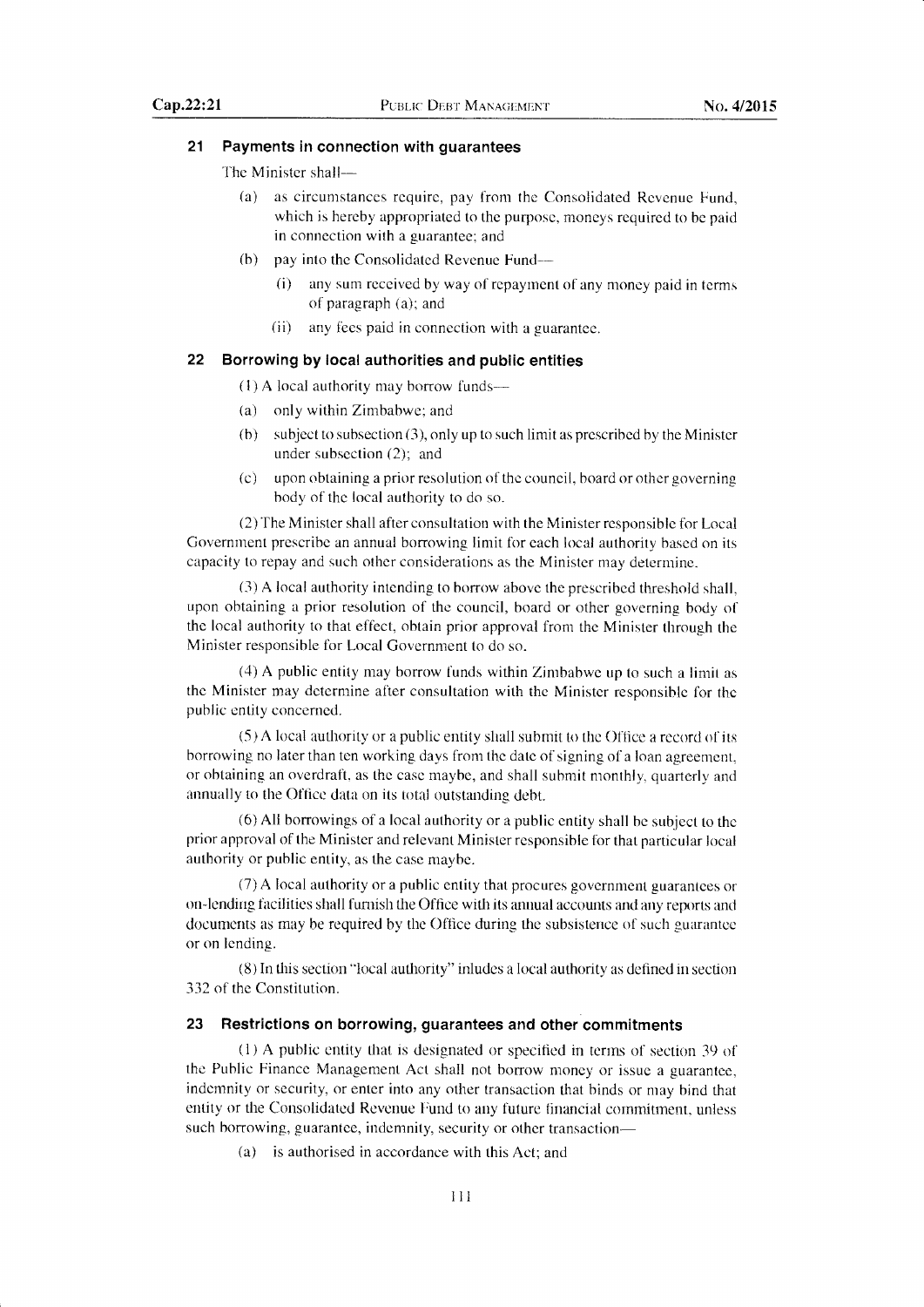# 21 Payments in connection with guarantees

The Minister shall-

- (a) as circumstances require, pay from the Consolidated Revenue Fund, which is hereby appropriated to the purpose, moneys required to be paid in connection with a guarantee; and
- $(b)$  pay into the Consolidated Revenue Fund-
	- $(i)$  any sum received by way of repayment of any money paid in terms of paragraph  $(a)$ ; and
	- (ii) any fees paid in connection with a guarantee.

# 22 Borrowing by local authorities and public entities

 $(1)$  A local authority may borrow funds—

- (a) only within Zimbabwe; and
- (b) subject to subsection  $(3)$ , only up to such limit as prescribed by the Minister under subsection (2); and
- (c) upon obtaining a prior resolution of the council, board or other governing body of the local authority to do so.

(2)'Ihe Minister shall after consultation with the Minister responsible for Local Government prescribe an annual borrowing limit for each local authority based on its capacity to repay and such other considerations as the Minister may determine.

(3) A local authority intending to borrow above the prescribed threshold shall, upon obtaining a prior resolution of the council, board or other goveming body of the local authority to that effect, obtain prior approval fiom the Minister through the Minister responsible for Local Government to do so.

(4) A public entity may borrow funds within Zimbabwe up to such a limit as the Minister may determine after consultation with the Minister responsible for the public entity concerned.

(5 ) A local authority or a public entity shall submit to the Office a record of its borrowing no later than ten working days from the date of signing of a loan agreement. or obtaining an overdraft, as the case maybe, and shall submit monthly, quarterly and annually to the Office data on its total outstanding debt.

(6) All borrowings of a local authority or a public entity shall be subject to the prior approval of the Minister and relevant Minister responsible for that particular local authority or public entity, as the case maybe.

(7) A local authority or a public entity that procures government guarantees or on-lending facilities shall furnish the Office with its annual accounts and any reports and docunrcnts as may be required by the Office during the subsistence of such guarantee or on lending.

 $(8)$  In this section "local authority" inludes a local authority as defined in section 332 of the Constitution.

# 23 Restrictions on borrowing, guarantees and other commitments

(1) A public entity that is designated or specifled in terms of section 39 of the Public Finance Management Act shall not borrow money or issue a guarantee, indemnity or security, or enter into any other transaction that binds or may bind that entity or the Consolidated Revenue Fund to any future financial commitment, unless such borrowing, guarantee, indemnity, security or other transaction-

(a) is authorised in accordance with this Act: and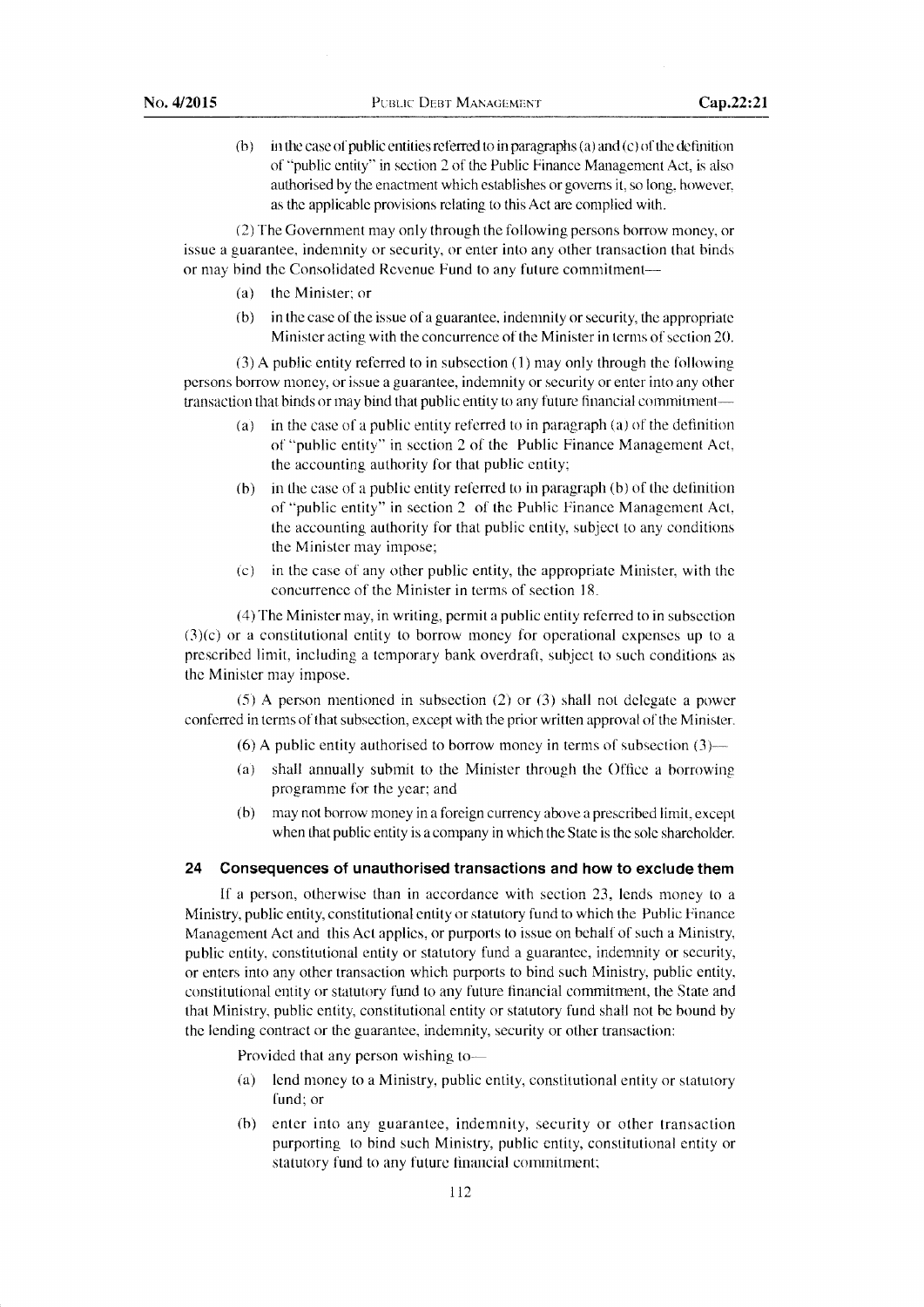(b) in the case of public entities referred to in paragraphs (a) and (c) of the definition of "public entity" in section 2 of the Public Finance Management Act, is also authorised by the enactment which establishes or governs it, so long, however, as the applicable provisions relating to this Act are complied with.

(2) The Govemment may only through the following persons borrow money, or issue a guarantee, indemnity or security, or enter into any other transaction that binds or may bind the Consolidated Revenue Fund to any future commitment-

- (a) the Minister;or
- (b) in the case of the issue of a guarantee, indemnity or security, the appropriate Minister acting with the concurrence of the Minister in terms of section 20.

(3) A public entity referred to in subsection  $(1)$  may only through the following persons borrow money, or issue a guarantee, indemnity or security or enter into any other transaction that binds or may bind that public entity to any future financial commitment-

- (a) in the case of a public entity referred to in paragraph (a) of the definition of "public entity" in section 2 of the Public Finance Management Act, the accounting authority for that public entity;
- $(b)$  in the case of a public entity referred to in paragraph  $(b)$  of the definition of "public entity" in section 2 of the Public Finance Management Act, the accounting authority for that public entity, subject to any conditions the Minister may impose;
- $(c)$  in the case of any other public entity, the appropriate Minister, with the concurrence of the Minister in terms of section 18.

(4) The Minister may, in writing, permit a public entity referred to in subsection  $(3)(c)$  or a constitutional entity to borrow money for operational expenses up to a prescribed limit, including a temporary bank overdraft, subject to such conditions as the Minister may impose.

(5) A person mentioned in subsection (2) or (3) shall not delegate a power conferred in terms of that subsection, except with the prior written approval of the Minister.

(6) A public entity authorised to borrow money in terms of subsection  $(3)$ —

- (a) shall annually submit to the Minister through the Office a borrowing programme for the year; and
- (b) may not borrow money in a foreign currency above a prescribed limit, except when that public entity is a company in which the State is the sole shareholder.

# 24 Consequences of unauthorised transactions and how to exclude them

lf a person, otherwise than in accordance with section 23, lends money to <sup>a</sup> Ministry, public entity, constitutional entity or statutory fund to which the Public Finance Management Act and this Act applies, or purports to issue on behalf of such a Ministry public entity, constitutional entity or statutory fund a guarantee, indemnity or security, or enters into any other transaction which purports to hind such Ministry, public entity, constitutional entity or statutory fund to any future financial commitment, the State and that Ministry, public entity, constitutional entity or statutory fund shall not be bound by the lending contract or the guarantee, indemnity, security or other transaction:

Provided that any person wishing to-

- (a) lend money to a Ministry, puhlic entity, constitutional enfity or statutory fund; or
- {h) enter into any guarantee, indemnity, security or other transaction purporting to bind such Ministry, public entity, constitutional entity or statutory fund to any future financial commitment;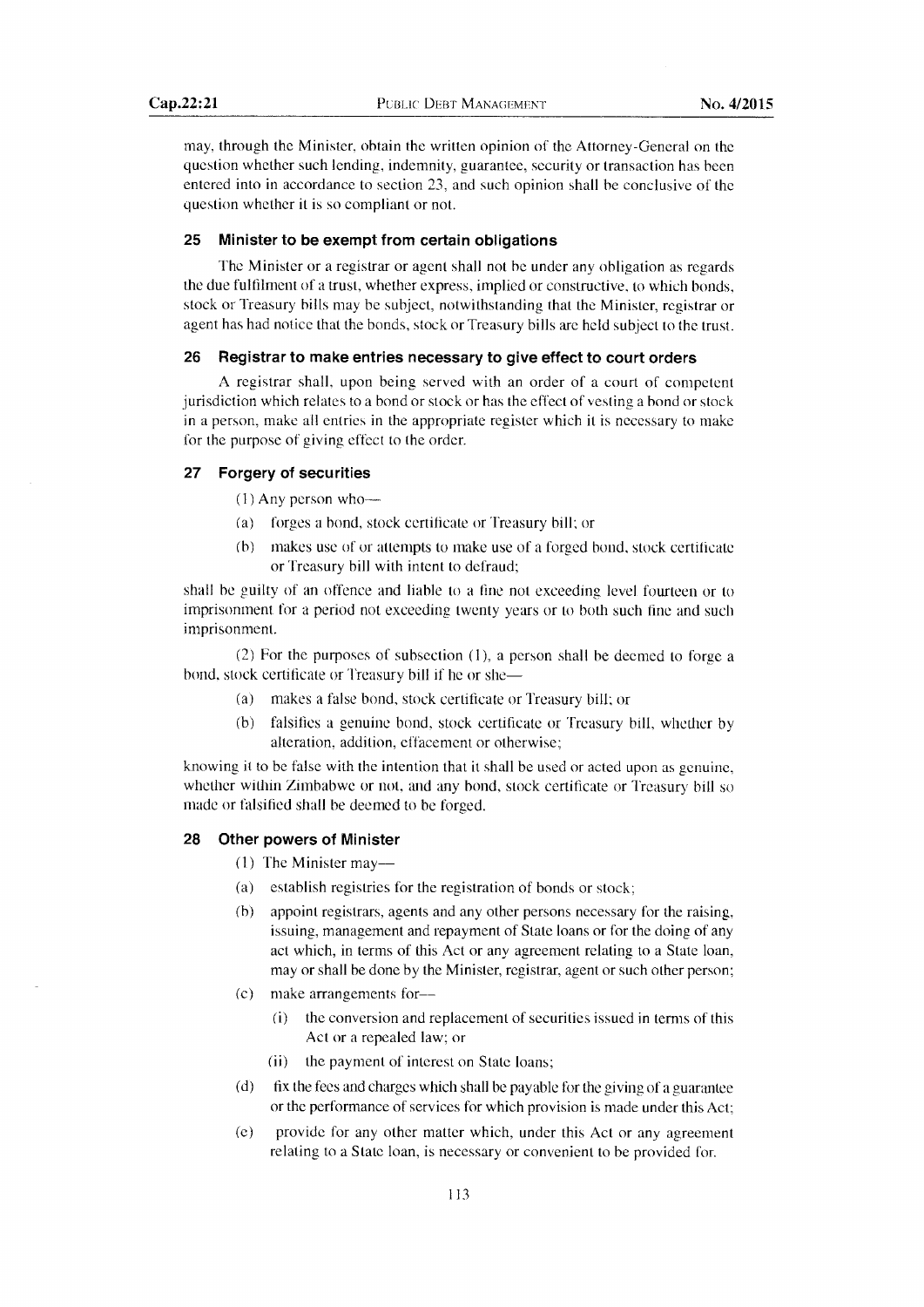may, through the Minister, obtain the written opinion of the Attorney-General on the question whether such lending, indemnity, guarantee, security or transaction has been entered into in accordance to section 23, and such opinion shall be conclusive of the question whether it is so compliant or not.

#### 25 Minister to be exempt from certain obligations

The Minister or a registrar or agent shall not be under any obligation as regards the due fulfilment of a trust, whether express, implied or constructive, to which bonds, stock or Treasury bills may be subject, notwithstanding that the Minister, registrar or agent has had notice that the bonds, stock or Treasury bills are held subject to the trust.

#### 26 Registrar to make entries necessary to give effect to court orders

A registrar shall, upon being served with an order of a court of competent jurisdiction which relates to a bond or stock or has the effect of vesting a bond or stock in a person, make all entries in the appropriate register which it is necessary to make for the purpose of giving effect to the order.

# 27 Forgery of securities

 $(1)$  Any person who--

- (a) forges a bond, stock certificate or Treasury bill; or
- (b) makes use of or attempts to make use of a forged bond, stock certificate or Treasury bill with intent to defraud;

shall be guilty of an offence and liable to a fine not exceeding level foufieen or to imprisonment for a period not exceeding twenty years or to both such fine and such imprisonment.

(2) For the purposes of subsection  $(1)$ , a person shall be deemed to forge a bond, stock certificate or Treasury bill if he or she-

- (a) makes a talse bond, stock certificate or Treasury bill: or
- (b) falsifies a genuine bond, stock certificate or Treasury bill, whether by alteration, addition, effacement or otherwise:

knowing it to be false with the intention that it shall be used or acted upon as gcnuine, whether within Zimbabwe or not, and any bond, stock certificate or Treasury bill so made or falsified shall be deemed to be forged.

# 28 Other powers of Minister

- $(1)$  The Minister may-
- (a) establish registries for the registration of bonds or stock;
- (b) appoint registrars, agents and any other persons necessary for the raising, issuing, management and repayment of State loans or for the doing of any act which, in terms of this Act or any agreenent relating to a State loan, may or shall be done by the Minister, registrar, agent or such other person;
- (c) make arrangements for--
	- $(i)$  the conversion and replacement of securities issued in terms of this Act or a repealed law; or
	- (ii) the payment of interest on State loans;
- $(d)$  fix the fees and charges which shall be payable for the giving of a guarantee or the performance of services for which provision is made under this Act;
- (e) provide for any other matter which, under this Act or any agreement relating to a State loan, is necessary or convenient to be provided for.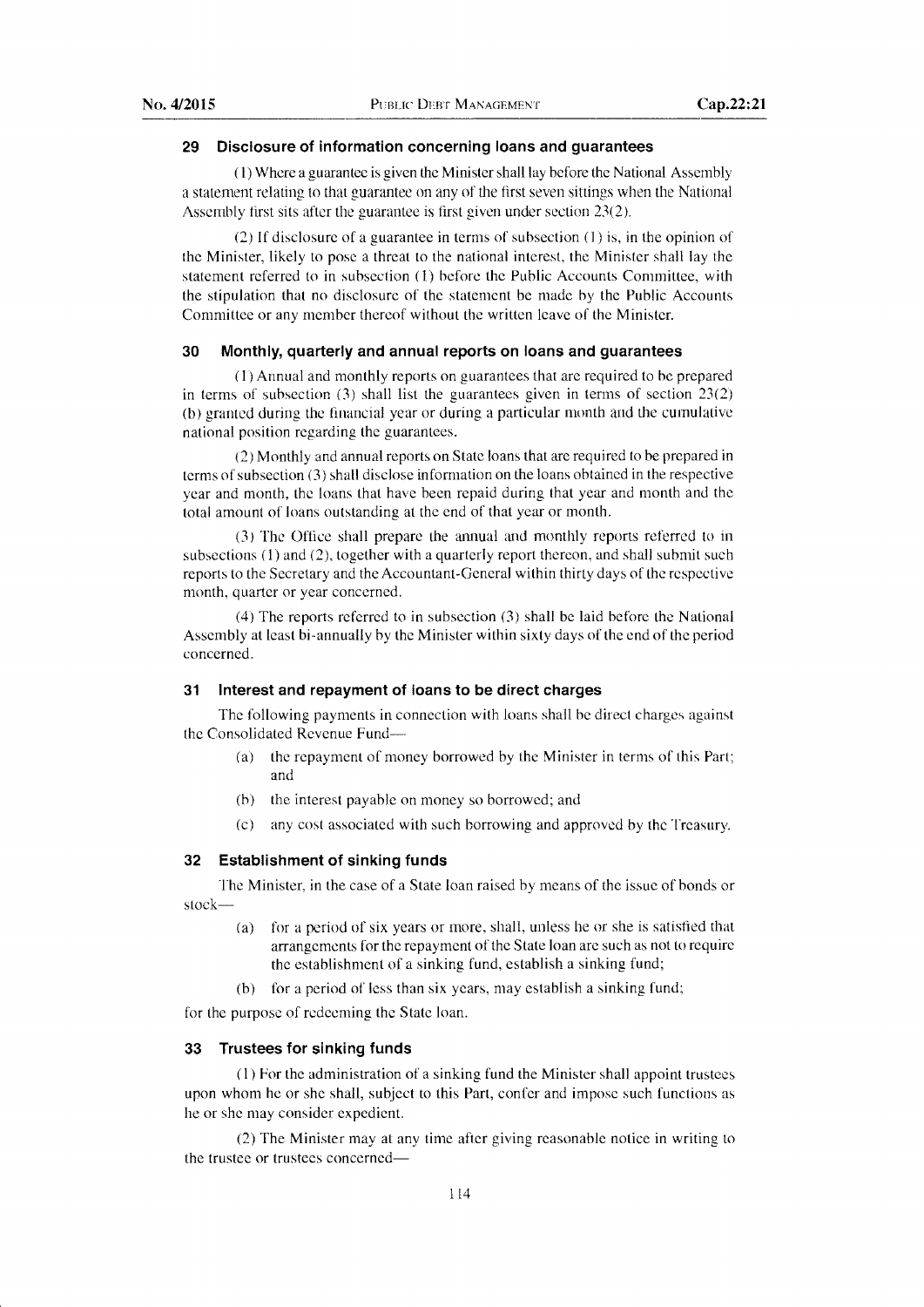# 29 Disclosure of information concerning loans and guarantees

( 1) Where a guarantee is given the Minister shall lay before the National Assembly a statement relating to that guarantee on any of the first seven sittings when the National Assembly first sits after the guarantee is first given under section  $23(2)$ .

(2) If disclosure of a guarantee in terms of subsection  $(1)$  is, in the opinion of the Minister, likely to pose a threat to the national interest, the Minister shall lay the statement referred to in subsection  $(1)$  before the Public Accounts Committee, with the stipulation that no disclosure of the statement be made by the Public Accounts Committee or any member thereof without the written leave of the Minister.

# 30 Monthly, quarterly and annual reports on Ioans and guarantees

 $(1)$  Annual and monthly reports on guarantees that are required to be prepared in terms of subsection (3) shall list the guarantees given in terms of section 23(2) (b) granted during the financial year or during a particular month and the cumulative national position regarding the guarantees.

(2) Monthly and annual reports on State loans that are required to be prepared in terms of subsection (3) shall disclose information on the loans obtained in the respective year and month, the loans that have been repaid during that year and month and the total amount of loans outstanding at the end of that year or month.

(3) The Office shall prepare the annual and monthly reports referred to in subsections (1) and (2), together with a quarterly report thereon, and shall submit such reports to the Secretary and the Accountant-General within thirty days of the respective month, quarter or year concemed.

(4) The reports referred to in subsection (3) shall be laid before the National Assembly at least bi-annually by the Minister within sixty days of the end of the period concerned.

#### 31 Interest and repayment of loans to be direct charges

The following payments in connection with loans shall be direct charges against the Consolidated Revenue Fund-

- (a) the repayment of money borrowed by the Minister in terms of this Part; and
- (b) the interest payable on money so borrowed; and
- (c) any cost associated with such borrowing and approved by the Treasury.

# 32 Establishment of sinking funds

The Minister, in the case of a State loan raised by means of the issue of bonds or stock-

- (a) for a period of six years or more, shall, unless he or she is satisited that arrangements for the repayment of the State loan are such as not to requirc the establishment of a sinking fund, establish a sinking fund;
- (b) for a period of less than six years, may establish a sinking fund;

for the purpose of redeeming the State loan.

#### 33 Trustees for sinking funds

(1) For the administration of a sinking fund the Minister shall appoint trustees upon whom he or she shall, subject to this Part, confer and impose such functions as he or she may consider expedient.

(2) The Minister may at any time after giving reasonable notice in writing to the trustee or trustees concerned-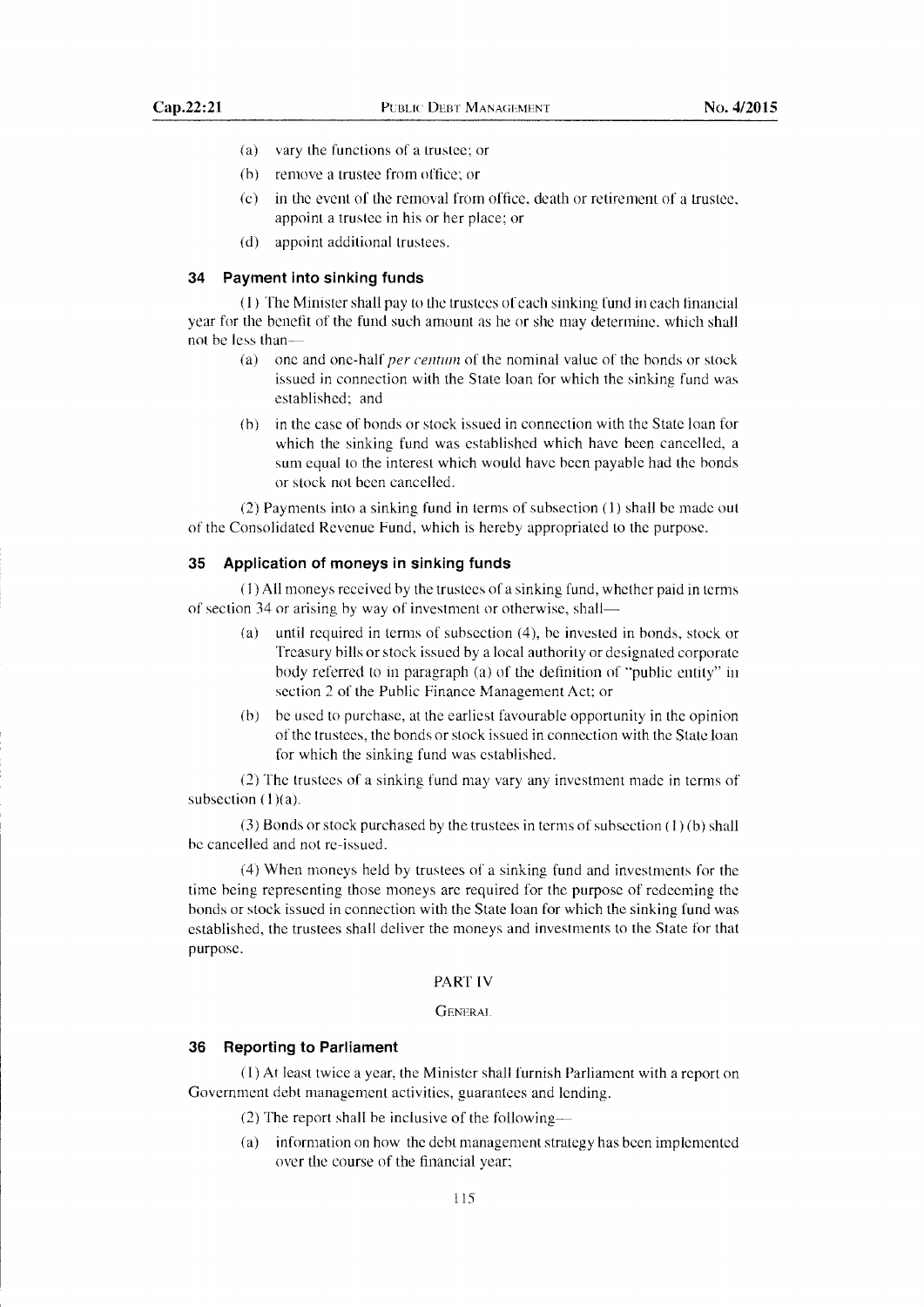- (a) vary the functions of a trustee; or
- (b) remove a trustee from office; or
- (c) in the event of the removal from office, death or retirement of a trustee, appoint a trustee in his or her place; or
- (d) appoint additional trustees.

#### 34 Payment into sinking funds

 $(1)$  The Minister shall pay to the trustees of each sinking fund in each financial year for the benefit of the fund such amount as he or she may determine. which shall not be less than-

- (a) one and one-half *per centum* of the nominal value of the bonds or stock issued in connection with the State loan for which the sinking fund was established; and
- ft) in the case of bonds or stock issued in connection with the State loan for which the sinking fund was established which have been cancelled, a sum equal to the interest which would have been payable had the bonds or stock not been cancelled.

(2) Payments into a sinking fund in terms of subsection (l) shall be made out of the Consolidated Revenue Fund, which is hereby appropriated to the purpose.

# 35 Application of moneys in sinking funds

(1) All moneys received by the trustees of a sinking fund, whether paid in terms of section 34 or arising by way of investment or otherwise, shall-

- (a) until required in terms of subsection (4), be invested in bonds, stock or Treasury bills or stock issued by a local authority or designated corporate body referred to in paragraph (a) of the definition of "public entity" in section 2 of the Public Finance Management Act; or
- (b) be used to purchase, at the earliest favourable opportunity in the opinion of the trustees, the bonds or stock issued in connection with the State loan for which the sinking fund was established.

(2) The trustees of a sinking fund may vary any investment made in terms of subsection  $(1)(a)$ .

 $(3)$  Bonds or stock purchased by the trustees in terms of subsection  $(1)(b)$  shall be cancelled and not re-issued.

(4) When moneys held by trustees of a sinking fund and investments for the time being representing those moneys are required for the purpose of redeeming the bonds or stock issued in connection with the State loan for which the sinking fund was established, the trustees shall deliver the moneys and investments to the State for that purpose.

# PART IV

# GENERAL

# 36 Reporting to Parliament

( 1) At least twice a year, the Minister shall furnish Parliament with a report on Government debt management activities, guarantees and lending.

- (2) The report shall be inclusive of the following-
- (a) information on how the debt management strategy has been implemented over the course of the financial year;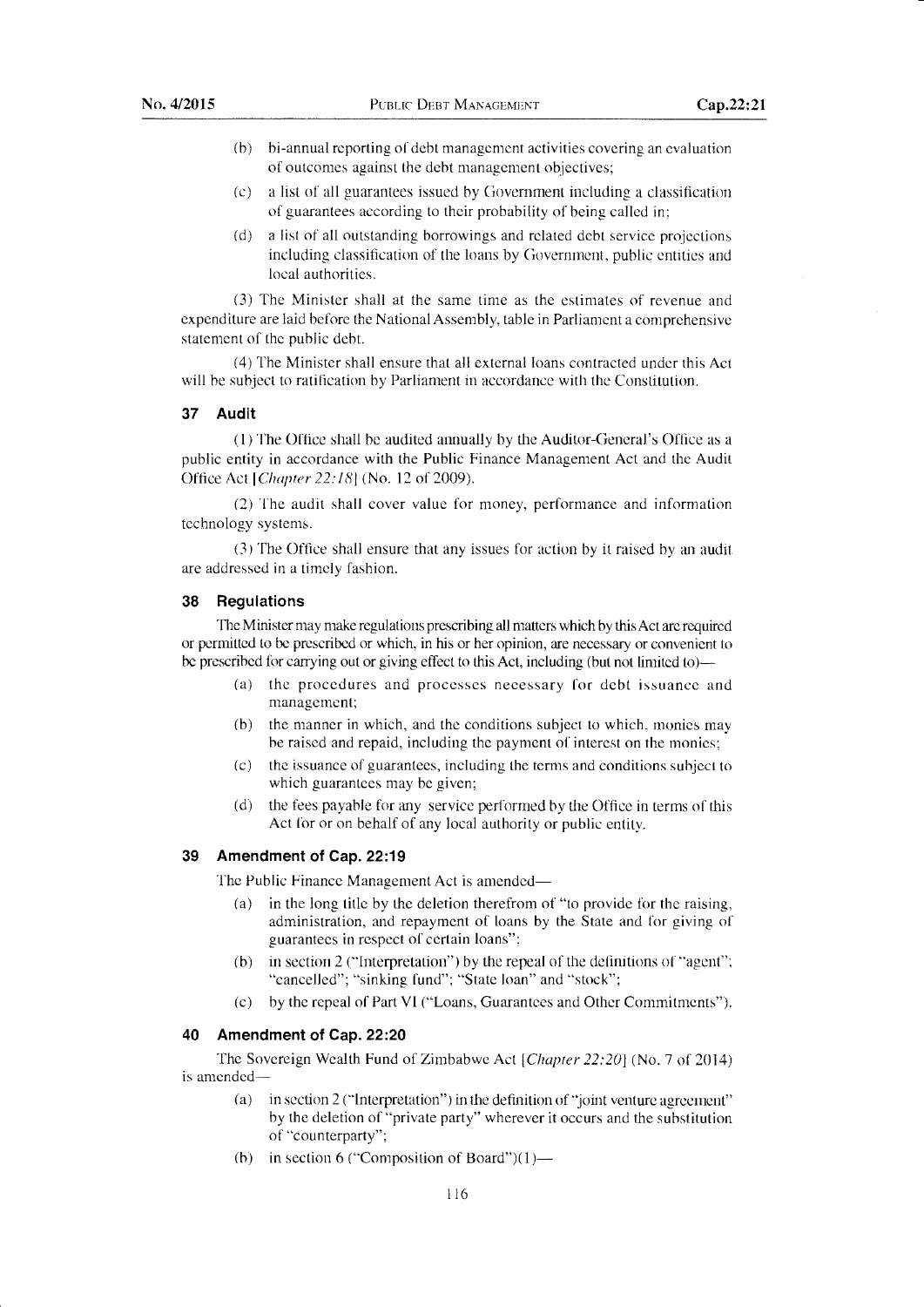- (b) bi-annual reporting of debt management activities covering an evaluation of outcomes against the debt management objectives;
- (c) a list of all guarantees issued by Government including a classification of guarantees according to their probability of being called in;
- (d) a list of all outstanding borrowings and related debt service projections including classification of the loans by Government, public entities and local authorities.

(3) The Minister shall at the same time as the estimates of revenue and expenditure are laid before the National Assembly, table in Parliament a comprehensive statement of the public debt.

(4) The Minister shall ensure that all external loans contracted under this Act will be subiect to ratification by Parliament in accordance with the Constitution.

# 37 Audit

(1) Ihe Office shall be audited annually by the Auditor-General's Office as <sup>a</sup> public entity in accordance with the Public Finance Management Act and the Audit Office Act [Chapter 22:18] (No. 12 of 2009).

(2) The audit shall cover value for rnoney, performance and information technology systems.

(3) The Office shall ensure that any issues for action by it raised by an audit are addressed in a timely fashion.

# 38 Regulations

The Minister may make regulations prescribing all matters which by this Act are required or permitted to be prescribed or which, in his or her opinion, are necessary or convenient to be prescribed for carrying out or giving effect to this Act, including (but not limited to)-

- (a) the procedures and processes necessary for debt issuance and management;
- (b) the manner in which, and the conditions subject to which, rnonies may be raised and repaid, including the payment of interest on the monies;
- (c) the issuance of guarantees, including the terms and conditions subject to which guarantees may be given;
- (d) the fees payable for any service performed by the Office in terms of this Act for or on behalf of any local authority or public entity.

# 39 Amendment of Cap.22:19

The Public Finance Management Act is amended—

- (a) in the long title by the deletion therefrom of "to provide for the raising, administration, and repayment of loans by the State and for giving of guarantees in respect of certain loans";
- (b) in section 2 ("Interpretation") by the repeal of the definitions of "agent"; "cancelled"; "sinking fund"; "State loan" and "stock";
- (c) by the repeal of Part VI ("Loans, Guarantees and Other Commitrnents").

# 40 Amendment of Cap. 22:20

The Sovereign Wealth Fund of Zimbabwe Act [Chapter 22:20] (No. 7 of 2014) is amended-

- (a) in section 2 ("Interpretation") in the definition of "joint venture agreement" by the deletion of "private party" wherever it occurs and the substitution of "counterparty";
- (b) in section 6 ("Composition of Board") $(1)$ —